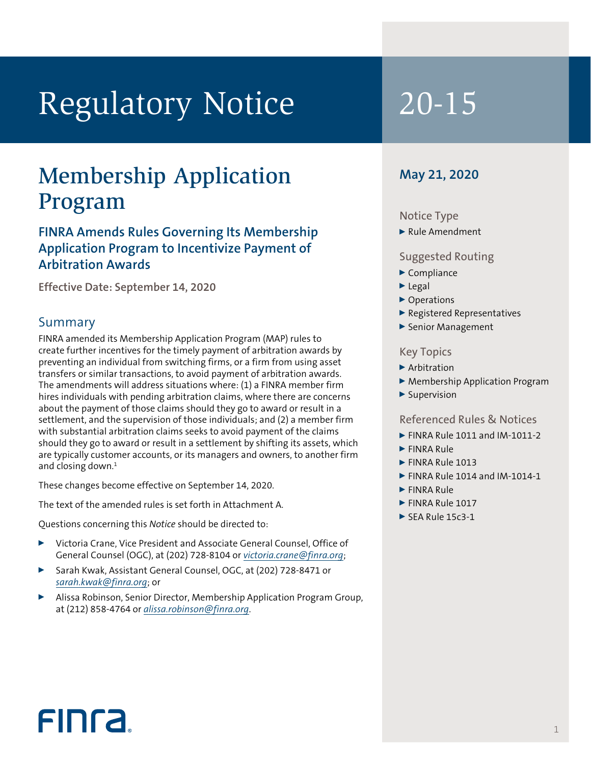# Regulatory Notice 20-15

### Membership Application Program

### **FINRA Amends Rules Governing Its Membership Application Program to Incentivize Payment of Arbitration Awards**

**Effective Date: September 14, 2020**

### Summary

FINRA amended its Membership Application Program (MAP) rules to create further incentives for the timely payment of arbitration awards by preventing an individual from switching firms, or a firm from using asset transfers or similar transactions, to avoid payment of arbitration awards. The amendments will address situations where: (1) a FINRA member firm hires individuals with pending arbitration claims, where there are concerns about the payment of those claims should they go to award or result in a settlement, and the supervision of those individuals; and (2) a member firm with substantial arbitration claims seeks to avoid payment of the claims should they go to award or result in a settlement by shifting its assets, which are typically customer accounts, or its managers and owners, to another firm and closing down.<sup>1</sup>

These changes become effective on September 14, 2020.

The text of the amended rules is set forth in Attachment A.

Questions concerning this *Notice* should be directed to:

- <sup>0</sup> Victoria Crane, Vice President and Associate General Counsel, Office of General Counsel (OGC), at (202) 728-8104 or *victoria.crane@finra.org*;
- <sup>0</sup> Sarah Kwak, Assistant General Counsel, OGC, at (202) 728-8471 or *sarah.kwak@finra.org*; or
- <sup>0</sup> Alissa Robinson, Senior Director, Membership Application Program Group, at (212) 858-4764 or *alissa.robinson@finra.org*.

### **May 21, 2020**

### Notice Type

 $\blacktriangleright$  Rule Amendment

### Suggested Routing

- $\blacktriangleright$  Compliance
- $\blacktriangleright$  Legal
- ▶ Operations
- <sup>0</sup> Registered Representatives
- ▶ Senior Management

### Key Topics

- $\blacktriangleright$  Arbitration
- ▶ Membership Application Program
- $\blacktriangleright$  Supervision

### Referenced Rules & Notices

- $\blacktriangleright$  FINRA Rule 1011 and IM-1011-2
- FINRA Rule
- FINRA Rule 1013
- $\blacktriangleright$  FINRA Rule 1014 and IM-1014-1
- $\blacktriangleright$  FINRA Rule
- $\blacktriangleright$  FINRA Rule 1017
- $\triangleright$  SEA Rule 15c3-1

## **FINCA**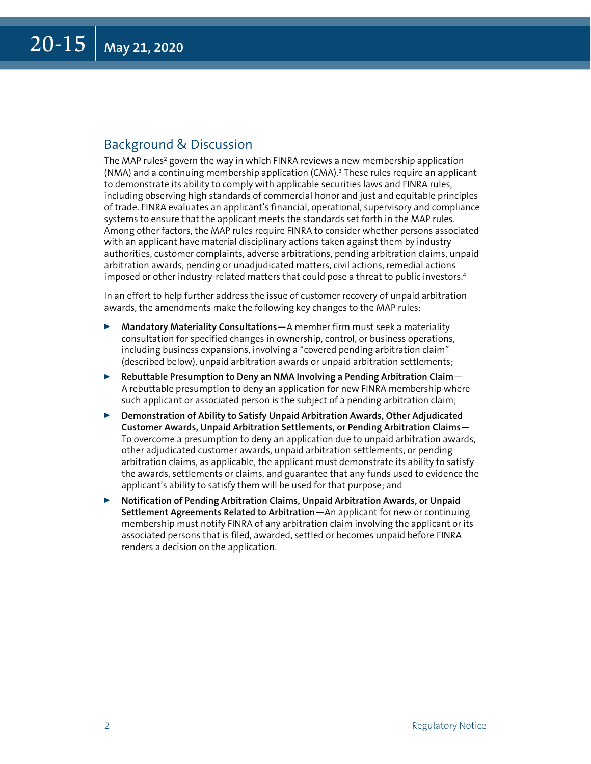### Background & Discussion

The MAP rules $^2$  govern the way in which FINRA reviews a new membership application (NMA) and a continuing membership application (CMA).3 These rules require an applicant to demonstrate its ability to comply with applicable securities laws and FINRA rules, including observing high standards of commercial honor and just and equitable principles of trade. FINRA evaluates an applicant's financial, operational, supervisory and compliance systems to ensure that the applicant meets the standards set forth in the MAP rules. Among other factors, the MAP rules require FINRA to consider whether persons associated with an applicant have material disciplinary actions taken against them by industry authorities, customer complaints, adverse arbitrations, pending arbitration claims, unpaid arbitration awards, pending or unadjudicated matters, civil actions, remedial actions imposed or other industry-related matters that could pose a threat to public investors.<sup>4</sup>

In an effort to help further address the issue of customer recovery of unpaid arbitration awards, the amendments make the following key changes to the MAP rules:

- <sup>0</sup> **Mandatory Materiality Consultations**—A member firm must seek a materiality consultation for specified changes in ownership, control, or business operations, including business expansions, involving a "covered pending arbitration claim" (described below), unpaid arbitration awards or unpaid arbitration settlements;
- <sup>0</sup> **Rebuttable Presumption to Deny an NMA Involving a Pending Arbitration Claim** A rebuttable presumption to deny an application for new FINRA membership where such applicant or associated person is the subject of a pending arbitration claim;
- <sup>0</sup> **Demonstration of Ability to Satisfy Unpaid Arbitration Awards, Other Adjudicated Customer Awards, Unpaid Arbitration Settlements, or Pending Arbitration Claims**— To overcome a presumption to deny an application due to unpaid arbitration awards, other adjudicated customer awards, unpaid arbitration settlements, or pending arbitration claims, as applicable, the applicant must demonstrate its ability to satisfy the awards, settlements or claims, and guarantee that any funds used to evidence the applicant's ability to satisfy them will be used for that purpose; and
- <sup>0</sup> **Notification of Pending Arbitration Claims, Unpaid Arbitration Awards, or Unpaid Settlement Agreements Related to Arbitration**—An applicant for new or continuing membership must notify FINRA of any arbitration claim involving the applicant or its associated persons that is filed, awarded, settled or becomes unpaid before FINRA renders a decision on the application.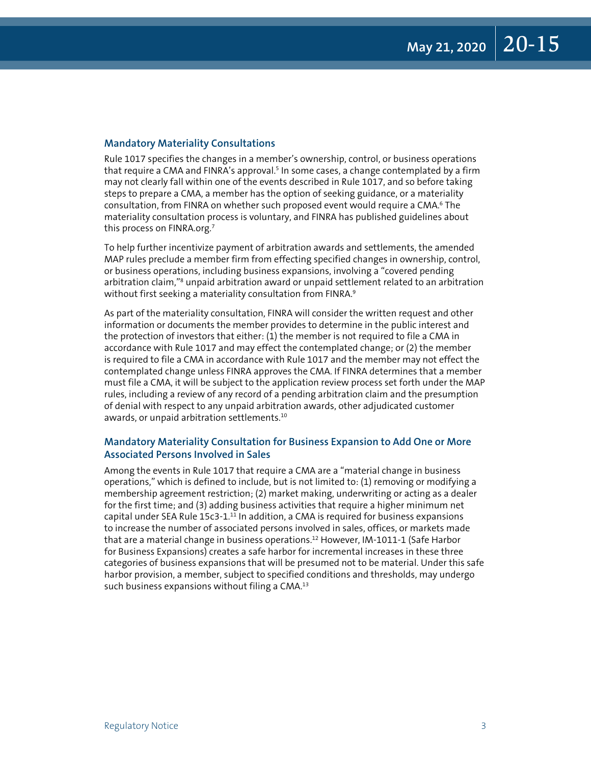### **Mandatory Materiality Consultations**

Rule 1017 specifies the changes in a member's ownership, control, or business operations that require a CMA and FINRA's approval.<sup>5</sup> In some cases, a change contemplated by a firm may not clearly fall within one of the events described in Rule 1017, and so before taking steps to prepare a CMA, a member has the option of seeking guidance, or a materiality consultation, from FINRA on whether such proposed event would require a CMA.<sup>6</sup> The materiality consultation process is voluntary, and FINRA has published guidelines about this process on FINRA.org.<sup>7</sup>

To help further incentivize payment of arbitration awards and settlements, the amended MAP rules preclude a member firm from effecting specified changes in ownership, control, or business operations, including business expansions, involving a "covered pending arbitration claim,"<sup>8</sup> unpaid arbitration award or unpaid settlement related to an arbitration without first seeking a materiality consultation from FINRA.<sup>9</sup>

As part of the materiality consultation, FINRA will consider the written request and other information or documents the member provides to determine in the public interest and the protection of investors that either: (1) the member is not required to file a CMA in accordance with Rule 1017 and may effect the contemplated change; or (2) the member is required to file a CMA in accordance with Rule 1017 and the member may not effect the contemplated change unless FINRA approves the CMA. If FINRA determines that a member must file a CMA, it will be subject to the application review process set forth under the MAP rules, including a review of any record of a pending arbitration claim and the presumption of denial with respect to any unpaid arbitration awards, other adjudicated customer awards, or unpaid arbitration settlements.10

### **Mandatory Materiality Consultation for Business Expansion to Add One or More Associated Persons Involved in Sales**

Among the events in Rule 1017 that require a CMA are a "material change in business operations," which is defined to include, but is not limited to: (1) removing or modifying a membership agreement restriction; (2) market making, underwriting or acting as a dealer for the first time; and (3) adding business activities that require a higher minimum net capital under SEA Rule 15c3-1.<sup>11</sup> In addition, a CMA is required for business expansions to increase the number of associated persons involved in sales, offices, or markets made that are a material change in business operations.12 However, IM-1011-1 (Safe Harbor for Business Expansions) creates a safe harbor for incremental increases in these three categories of business expansions that will be presumed not to be material. Under this safe harbor provision, a member, subject to specified conditions and thresholds, may undergo such business expansions without filing a CMA.13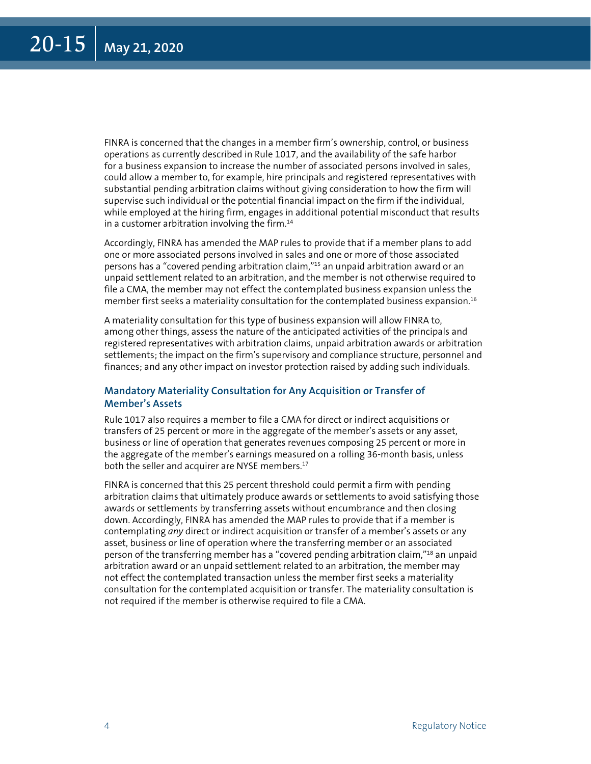FINRA is concerned that the changes in a member firm's ownership, control, or business operations as currently described in Rule 1017, and the availability of the safe harbor for a business expansion to increase the number of associated persons involved in sales, could allow a member to, for example, hire principals and registered representatives with substantial pending arbitration claims without giving consideration to how the firm will supervise such individual or the potential financial impact on the firm if the individual, while employed at the hiring firm, engages in additional potential misconduct that results in a customer arbitration involving the firm. $14$ 

Accordingly, FINRA has amended the MAP rules to provide that if a member plans to add one or more associated persons involved in sales and one or more of those associated persons has a "covered pending arbitration claim,"15 an unpaid arbitration award or an unpaid settlement related to an arbitration, and the member is not otherwise required to file a CMA, the member may not effect the contemplated business expansion unless the member first seeks a materiality consultation for the contemplated business expansion.16

A materiality consultation for this type of business expansion will allow FINRA to, among other things, assess the nature of the anticipated activities of the principals and registered representatives with arbitration claims, unpaid arbitration awards or arbitration settlements; the impact on the firm's supervisory and compliance structure, personnel and finances; and any other impact on investor protection raised by adding such individuals.

### **Mandatory Materiality Consultation for Any Acquisition or Transfer of Member's Assets**

Rule 1017 also requires a member to file a CMA for direct or indirect acquisitions or transfers of 25 percent or more in the aggregate of the member's assets or any asset, business or line of operation that generates revenues composing 25 percent or more in the aggregate of the member's earnings measured on a rolling 36-month basis, unless both the seller and acquirer are NYSE members.<sup>17</sup>

FINRA is concerned that this 25 percent threshold could permit a firm with pending arbitration claims that ultimately produce awards or settlements to avoid satisfying those awards or settlements by transferring assets without encumbrance and then closing down. Accordingly, FINRA has amended the MAP rules to provide that if a member is contemplating *any* direct or indirect acquisition or transfer of a member's assets or any asset, business or line of operation where the transferring member or an associated person of the transferring member has a "covered pending arbitration claim,"18 an unpaid arbitration award or an unpaid settlement related to an arbitration, the member may not effect the contemplated transaction unless the member first seeks a materiality consultation for the contemplated acquisition or transfer. The materiality consultation is not required if the member is otherwise required to file a CMA.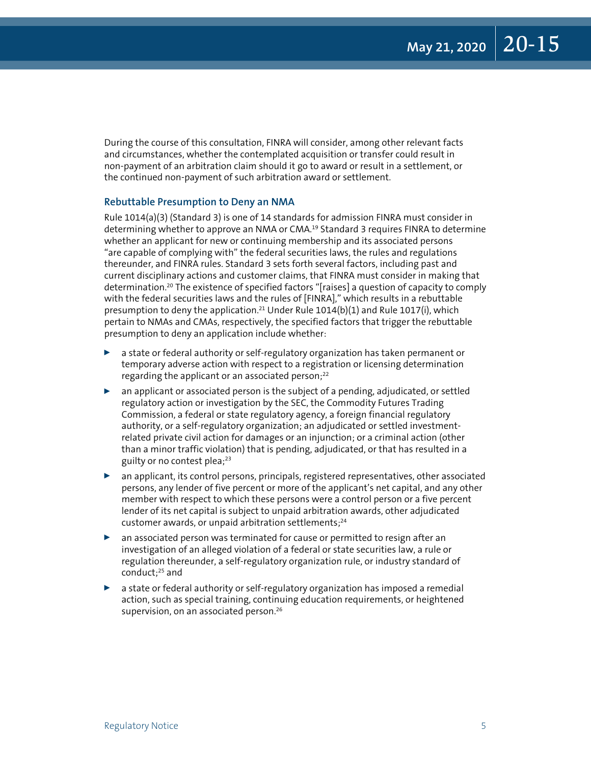During the course of this consultation, FINRA will consider, among other relevant facts and circumstances, whether the contemplated acquisition or transfer could result in non-payment of an arbitration claim should it go to award or result in a settlement, or the continued non-payment of such arbitration award or settlement.

### **Rebuttable Presumption to Deny an NMA**

Rule 1014(a)(3) (Standard 3) is one of 14 standards for admission FINRA must consider in determining whether to approve an NMA or CMA.19 Standard 3 requires FINRA to determine whether an applicant for new or continuing membership and its associated persons "are capable of complying with" the federal securities laws, the rules and regulations thereunder, and FINRA rules. Standard 3 sets forth several factors, including past and current disciplinary actions and customer claims, that FINRA must consider in making that determination.20 The existence of specified factors "[raises] a question of capacity to comply with the federal securities laws and the rules of [FINRA]," which results in a rebuttable presumption to deny the application.<sup>21</sup> Under Rule  $1014(b)(1)$  and Rule  $1017(i)$ , which pertain to NMAs and CMAs, respectively, the specified factors that trigger the rebuttable presumption to deny an application include whether:

- $\triangleright$  a state or federal authority or self-regulatory organization has taken permanent or temporary adverse action with respect to a registration or licensing determination regarding the applicant or an associated person; $^{22}$
- $\triangleright$  an applicant or associated person is the subject of a pending, adjudicated, or settled regulatory action or investigation by the SEC, the Commodity Futures Trading Commission, a federal or state regulatory agency, a foreign financial regulatory authority, or a self-regulatory organization; an adjudicated or settled investmentrelated private civil action for damages or an injunction; or a criminal action (other than a minor traffic violation) that is pending, adjudicated, or that has resulted in a guilty or no contest plea;<sup>23</sup>
- an applicant, its control persons, principals, registered representatives, other associated persons, any lender of five percent or more of the applicant's net capital, and any other member with respect to which these persons were a control person or a five percent lender of its net capital is subject to unpaid arbitration awards, other adjudicated customer awards, or unpaid arbitration settlements; $24$
- $\triangleright$  an associated person was terminated for cause or permitted to resign after an investigation of an alleged violation of a federal or state securities law, a rule or regulation thereunder, a self-regulatory organization rule, or industry standard of conduct;25 and
- a state or federal authority or self-regulatory organization has imposed a remedial action, such as special training, continuing education requirements, or heightened supervision, on an associated person.<sup>26</sup>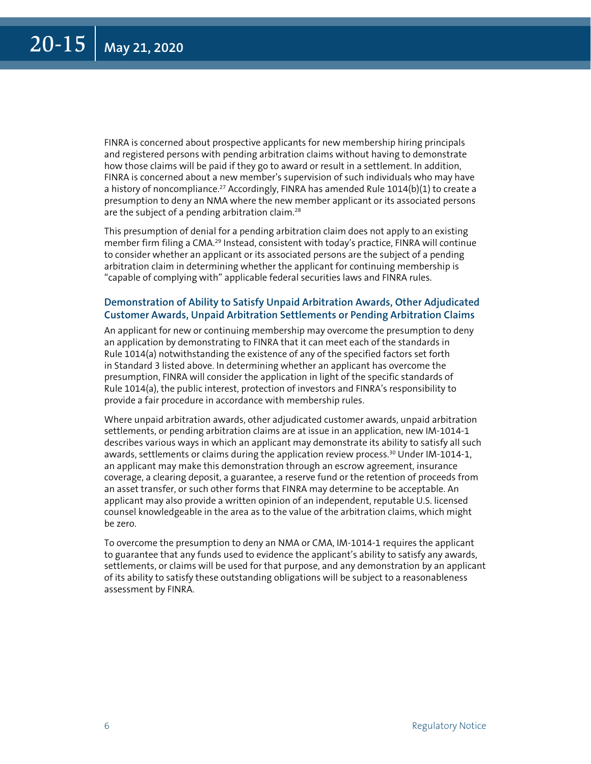FINRA is concerned about prospective applicants for new membership hiring principals and registered persons with pending arbitration claims without having to demonstrate how those claims will be paid if they go to award or result in a settlement. In addition, FINRA is concerned about a new member's supervision of such individuals who may have a history of noncompliance.<sup>27</sup> Accordingly, FINRA has amended Rule  $1014(b)(1)$  to create a presumption to deny an NMA where the new member applicant or its associated persons are the subject of a pending arbitration claim.<sup>28</sup>

This presumption of denial for a pending arbitration claim does not apply to an existing member firm filing a CMA.<sup>29</sup> Instead, consistent with today's practice, FINRA will continue to consider whether an applicant or its associated persons are the subject of a pending arbitration claim in determining whether the applicant for continuing membership is "capable of complying with" applicable federal securities laws and FINRA rules.

### **Demonstration of Ability to Satisfy Unpaid Arbitration Awards, Other Adjudicated Customer Awards, Unpaid Arbitration Settlements or Pending Arbitration Claims**

An applicant for new or continuing membership may overcome the presumption to deny an application by demonstrating to FINRA that it can meet each of the standards in Rule 1014(a) notwithstanding the existence of any of the specified factors set forth in Standard 3 listed above. In determining whether an applicant has overcome the presumption, FINRA will consider the application in light of the specific standards of Rule 1014(a), the public interest, protection of investors and FINRA's responsibility to provide a fair procedure in accordance with membership rules.

Where unpaid arbitration awards, other adjudicated customer awards, unpaid arbitration settlements, or pending arbitration claims are at issue in an application, new IM-1014-1 describes various ways in which an applicant may demonstrate its ability to satisfy all such awards, settlements or claims during the application review process.<sup>30</sup> Under IM-1014-1, an applicant may make this demonstration through an escrow agreement, insurance coverage, a clearing deposit, a guarantee, a reserve fund or the retention of proceeds from an asset transfer, or such other forms that FINRA may determine to be acceptable. An applicant may also provide a written opinion of an independent, reputable U.S. licensed counsel knowledgeable in the area as to the value of the arbitration claims, which might be zero.

To overcome the presumption to deny an NMA or CMA, IM-1014-1 requires the applicant to guarantee that any funds used to evidence the applicant's ability to satisfy any awards, settlements, or claims will be used for that purpose, and any demonstration by an applicant of its ability to satisfy these outstanding obligations will be subject to a reasonableness assessment by FINRA.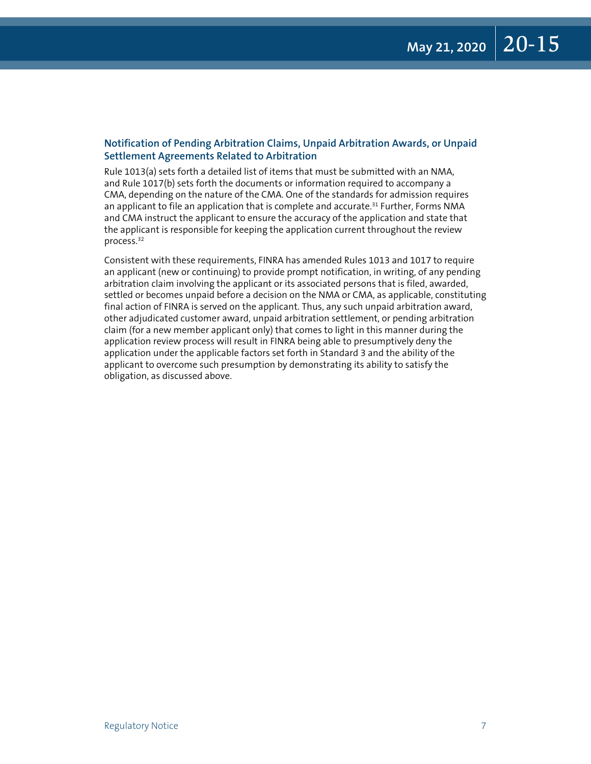### **Notification of Pending Arbitration Claims, Unpaid Arbitration Awards, or Unpaid Settlement Agreements Related to Arbitration**

Rule 1013(a) sets forth a detailed list of items that must be submitted with an NMA, and Rule 1017(b) sets forth the documents or information required to accompany a CMA, depending on the nature of the CMA. One of the standards for admission requires an applicant to file an application that is complete and accurate.<sup>31</sup> Further, Forms NMA and CMA instruct the applicant to ensure the accuracy of the application and state that the applicant is responsible for keeping the application current throughout the review process.32

Consistent with these requirements, FINRA has amended Rules 1013 and 1017 to require an applicant (new or continuing) to provide prompt notification, in writing, of any pending arbitration claim involving the applicant or its associated persons that is filed, awarded, settled or becomes unpaid before a decision on the NMA or CMA, as applicable, constituting final action of FINRA is served on the applicant. Thus, any such unpaid arbitration award, other adjudicated customer award, unpaid arbitration settlement, or pending arbitration claim (for a new member applicant only) that comes to light in this manner during the application review process will result in FINRA being able to presumptively deny the application under the applicable factors set forth in Standard 3 and the ability of the applicant to overcome such presumption by demonstrating its ability to satisfy the obligation, as discussed above.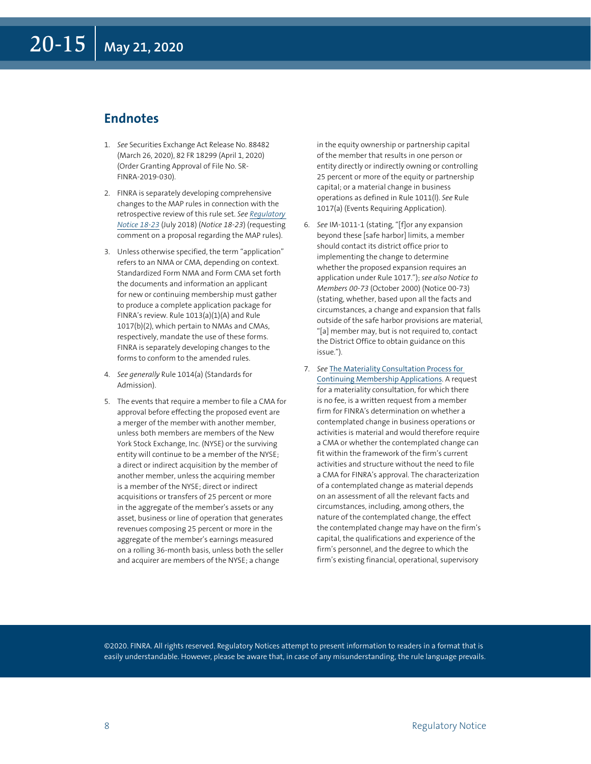### **Endnotes**

- 1. *See* Securities Exchange Act Release No. 88482 (March 26, 2020), 82 FR 18299 (April 1, 2020) (Order Granting Approval of File No. SR-FINRA-2019-030).
- 2. FINRA is separately developing comprehensive changes to the MAP rules in connection with the retrospective review of this rule set. *See [Regulatory](https://www.finra.org/rules-guidance/notices/18-23)  [Notice 18-23](https://www.finra.org/rules-guidance/notices/18-23)* (July 2018) (*Notice 18-23*) (requesting comment on a proposal regarding the MAP rules).
- 3. Unless otherwise specified, the term "application" refers to an NMA or CMA, depending on context. Standardized Form NMA and Form CMA set forth the documents and information an applicant for new or continuing membership must gather to produce a complete application package for FINRA's review. Rule 1013(a)(1)(A) and Rule 1017(b)(2), which pertain to NMAs and CMAs, respectively, mandate the use of these forms. FINRA is separately developing changes to the forms to conform to the amended rules.
- 4. *See generally* Rule 1014(a) (Standards for Admission).
- 5. The events that require a member to file a CMA for approval before effecting the proposed event are a merger of the member with another member, unless both members are members of the New York Stock Exchange, Inc. (NYSE) or the surviving entity will continue to be a member of the NYSE; a direct or indirect acquisition by the member of another member, unless the acquiring member is a member of the NYSE; direct or indirect acquisitions or transfers of 25 percent or more in the aggregate of the member's assets or any asset, business or line of operation that generates revenues composing 25 percent or more in the aggregate of the member's earnings measured on a rolling 36-month basis, unless both the seller and acquirer are members of the NYSE; a change

in the equity ownership or partnership capital of the member that results in one person or entity directly or indirectly owning or controlling 25 percent or more of the equity or partnership capital; or a material change in business operations as defined in Rule 1011(l). *See* Rule 1017(a) (Events Requiring Application).

- 6. *See* IM-1011-1 (stating, "[f]or any expansion beyond these [safe harbor] limits, a member should contact its district office prior to implementing the change to determine whether the proposed expansion requires an application under Rule 1017."); *see also Notice to Members 00-73* (October 2000) (Notice 00-73) (stating, whether, based upon all the facts and circumstances, a change and expansion that falls outside of the safe harbor provisions are material, "[a] member may, but is not required to, contact the District Office to obtain guidance on this issue.").
- 7. *See* [The Materiality Consultation Process for](https://www.finra.org/rules-guidance/guidance/materiality-consultation-process)  [Continuing Membership Applications](https://www.finra.org/rules-guidance/guidance/materiality-consultation-process). A request for a materiality consultation, for which there is no fee, is a written request from a member firm for FINRA's determination on whether a contemplated change in business operations or activities is material and would therefore require a CMA or whether the contemplated change can fit within the framework of the firm's current activities and structure without the need to file a CMA for FINRA's approval. The characterization of a contemplated change as material depends on an assessment of all the relevant facts and circumstances, including, among others, the nature of the contemplated change, the effect the contemplated change may have on the firm's capital, the qualifications and experience of the firm's personnel, and the degree to which the firm's existing financial, operational, supervisory

©2020. FINRA. All rights reserved. Regulatory Notices attempt to present information to readers in a format that is easily understandable. However, please be aware that, in case of any misunderstanding, the rule language prevails.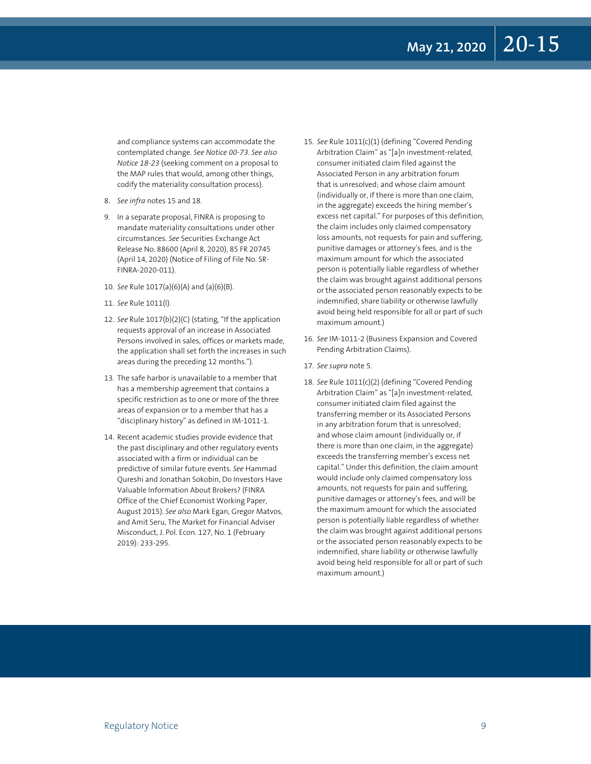and compliance systems can accommodate the contemplated change. *See Notice 00-73*. *See also Notice 18-23* (seeking comment on a proposal to the MAP rules that would, among other things, codify the materiality consultation process).

- 8. *See infra* notes 15 and 18.
- 9. In a separate proposal, FINRA is proposing to mandate materiality consultations under other circumstances. *See* Securities Exchange Act Release No. 88600 (April 8, 2020), 85 FR 20745 (April 14, 2020) (Notice of Filing of File No. SR-FINRA-2020-011).
- 10. *See* Rule 1017(a)(6)(A) and (a)(6)(B).
- 11. *See* Rule 1011(l).
- 12. See Rule 1017(b)(2)(C) (stating, "If the application requests approval of an increase in Associated Persons involved in sales, offices or markets made, the application shall set forth the increases in such areas during the preceding 12 months.").
- 13. The safe harbor is unavailable to a member that has a membership agreement that contains a specific restriction as to one or more of the three areas of expansion or to a member that has a "disciplinary history" as defined in IM-1011-1.
- 14. Recent academic studies provide evidence that the past disciplinary and other regulatory events associated with a firm or individual can be predictive of similar future events. *See* Hammad Qureshi and Jonathan Sokobin, Do Investors Have Valuable Information About Brokers? (FINRA Office of the Chief Economist Working Paper, August 2015). *See also* Mark Egan, Gregor Matvos, and Amit Seru, The Market for Financial Adviser Misconduct, J. Pol. Econ. 127, No. 1 (February 2019): 233-295.
- 15. See Rule 1011(c)(1) (defining "Covered Pending Arbitration Claim" as "[a]n investment-related, consumer initiated claim filed against the Associated Person in any arbitration forum that is unresolved; and whose claim amount (individually or, if there is more than one claim, in the aggregate) exceeds the hiring member's excess net capital." For purposes of this definition, the claim includes only claimed compensatory loss amounts, not requests for pain and suffering, punitive damages or attorney's fees, and is the maximum amount for which the associated person is potentially liable regardless of whether the claim was brought against additional persons or the associated person reasonably expects to be indemnified, share liability or otherwise lawfully avoid being held responsible for all or part of such maximum amount.)
- 16. See IM-1011-2 (Business Expansion and Covered Pending Arbitration Claims).
- 17. *See supra* note 5.
- 18. See Rule 1011(c)(2) (defining "Covered Pending Arbitration Claim" as "[a]n investment-related, consumer initiated claim filed against the transferring member or its Associated Persons in any arbitration forum that is unresolved; and whose claim amount (individually or, if there is more than one claim, in the aggregate) exceeds the transferring member's excess net capital." Under this definition, the claim amount would include only claimed compensatory loss amounts, not requests for pain and suffering, punitive damages or attorney's fees, and will be the maximum amount for which the associated person is potentially liable regardless of whether the claim was brought against additional persons or the associated person reasonably expects to be indemnified, share liability or otherwise lawfully avoid being held responsible for all or part of such maximum amount.)